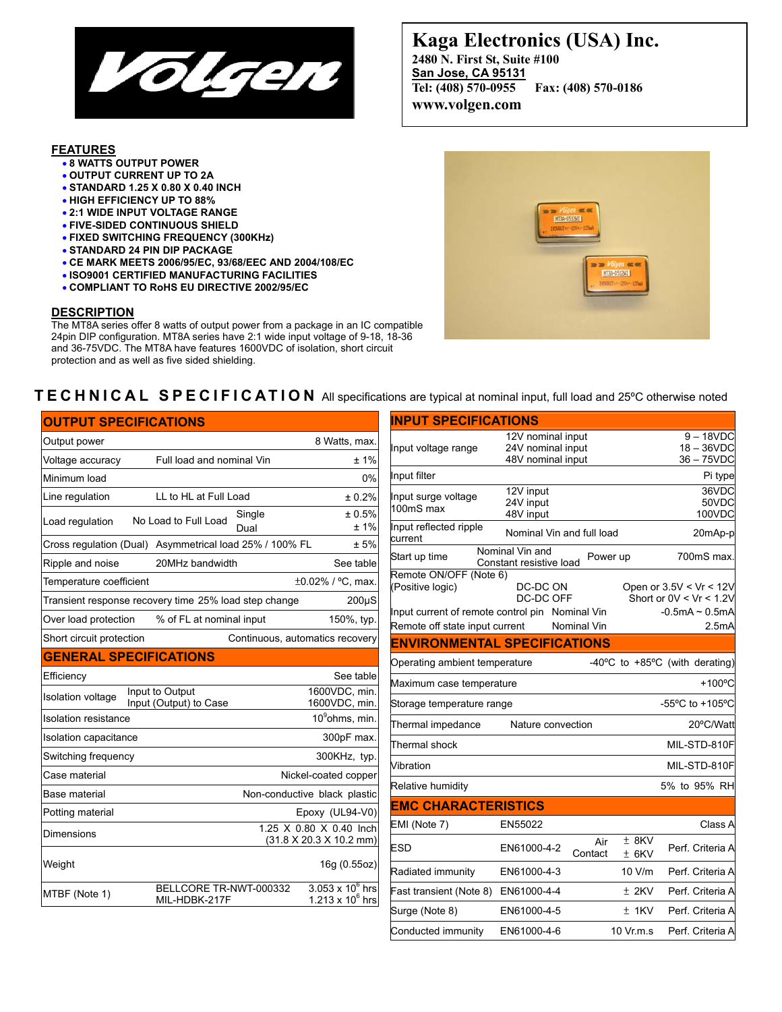

## **FEATURES**

- **8 WATTS OUTPUT POWER**
- **OUTPUT CURRENT UP TO 2A**
- **STANDARD 1.25 X 0.80 X 0.40 INCH**
- **HIGH EFFICIENCY UP TO 88%**
- **2:1 WIDE INPUT VOLTAGE RANGE**
- **FIVE-SIDED CONTINUOUS SHIELD**
- **FIXED SWITCHING FREQUENCY (300KHz)**
- **STANDARD 24 PIN DIP PACKAGE**
- **CE MARK MEETS 2006/95/EC, 93/68/EEC AND 2004/108/EC**
- **ISO9001 CERTIFIED MANUFACTURING FACILITIES**
- **COMPLIANT TO RoHS EU DIRECTIVE 2002/95/EC**

### **DESCRIPTION**

The MT8A series offer 8 watts of output power from a package in an IC compatible 24pin DIP configuration. MT8A series have 2:1 wide input voltage of 9-18, 18-36 and 36-75VDC. The MT8A have features 1600VDC of isolation, short circuit protection and as well as five sided shielding.

# **Kaga Electronics (USA) Inc. 2480 N. First St, Suite #100 San Jose, CA 95131 Tel: (408) 570-0955 Fax: (408) 570-0186 www.volgen.com**



# **TECHNICAL SPECIFICATION** All specifications are typical at nominal input, full load and 25ºC otherwise noted

| <b>OUTPUT SPECIFICATIONS</b>  |                                                         |                                                    |
|-------------------------------|---------------------------------------------------------|----------------------------------------------------|
| Output power                  |                                                         | 8 Watts, max.                                      |
| Voltage accuracy              | Full load and nominal Vin                               | ±1%                                                |
| Minimum load                  |                                                         | $0\%$                                              |
| Line regulation               | LL to HL at Full Load                                   | ± 0.2%                                             |
| Load regulation               | Single<br>No Load to Full Load<br>Dual                  | ± 0.5%<br>±1%                                      |
|                               | Cross regulation (Dual) Asymmetrical load 25% / 100% FL | ± 5%                                               |
| Ripple and noise              | 20MHz bandwidth                                         | See table                                          |
| Temperature coefficient       |                                                         | $\pm 0.02\%$ / °C, max.                            |
|                               | Transient response recovery time 25% load step change   | $200\mu S$                                         |
| Over load protection          | % of FL at nominal input                                | 150%, typ.                                         |
| Short circuit protection      |                                                         | Continuous, automatics recovery                    |
| <b>GENERAL SPECIFICATIONS</b> |                                                         |                                                    |
| Efficiency                    |                                                         | See table                                          |
| <b>Isolation voltage</b>      | Input to Output<br>Input (Output) to Case               | 1600VDC, min.<br>1600VDC, min.                     |
| <b>Isolation resistance</b>   |                                                         | 10 <sup>9</sup> ohms, min.                         |
| Isolation capacitance         |                                                         | 300pF max.                                         |
| Switching frequency           |                                                         | 300KHz, typ.                                       |
| Case material                 |                                                         | Nickel-coated copper                               |
| Base material                 |                                                         | Non-conductive black plastic                       |
| Potting material              |                                                         | Epoxy (UL94-V0)                                    |
| <b>Dimensions</b>             |                                                         | 1.25 X 0.80 X 0.40 lnch<br>(31.8 X 20.3 X 10.2 mm) |
|                               |                                                         |                                                    |
| Weight                        |                                                         | 16g (0.55oz)                                       |

| <b>INPUT SPECIFICATIONS</b>                     |                                            |                |                    |                                                      |  |  |  |
|-------------------------------------------------|--------------------------------------------|----------------|--------------------|------------------------------------------------------|--|--|--|
|                                                 | 12V nominal input                          |                |                    | $9 - 18VDC$                                          |  |  |  |
| Input voltage range                             | 24V nominal input<br>48V nominal input     |                |                    | $18 - 36$ VDC<br>$36 - 75$ VDC                       |  |  |  |
| Input filter                                    |                                            |                |                    | Pi type                                              |  |  |  |
| Input surge voltage                             | 12V input                                  |                |                    | 36VDC                                                |  |  |  |
| 100mS max                                       | 24V input<br>48V input                     |                |                    | 50VDC<br>100VDC                                      |  |  |  |
| Input reflected ripple<br>current               | Nominal Vin and full load                  |                |                    | 20mAp-p                                              |  |  |  |
| Start up time                                   | Nominal Vin and<br>Constant resistive load | Power up       |                    | 700mS max.                                           |  |  |  |
| Remote ON/OFF (Note 6)<br>(Positive logic)      | DC-DC ON<br>DC-DC OFF                      |                |                    | Open or 3.5V < Vr < 12V<br>Short or $0V < Vr < 1.2V$ |  |  |  |
| Input current of remote control pin Nominal Vin |                                            |                |                    | $-0.5mA \sim 0.5mA$                                  |  |  |  |
| Remote off state input current                  |                                            | Nominal Vin    |                    | 2.5 <sub>m</sub> A                                   |  |  |  |
| <b>ENVIRONMENTAL SPECIFICATIONS</b>             |                                            |                |                    |                                                      |  |  |  |
| Operating ambient temperature                   |                                            |                |                    | -40 $^{\circ}$ C to +85 $^{\circ}$ C (with derating) |  |  |  |
| Maximum case temperature                        |                                            |                |                    | +100°C                                               |  |  |  |
| Storage temperature range                       |                                            |                |                    | -55°C to +105°C                                      |  |  |  |
| Thermal impedance                               | Nature convection                          |                |                    | 20°C/Watt                                            |  |  |  |
| Thermal shock                                   |                                            |                |                    | MIL-STD-810F                                         |  |  |  |
| Vibration                                       |                                            |                |                    | MIL-STD-810F                                         |  |  |  |
| Relative humidity                               |                                            |                |                    | 5% to 95% RH                                         |  |  |  |
| <b>EMC CHARACTERISTICS</b>                      |                                            |                |                    |                                                      |  |  |  |
| EMI (Note 7)                                    | EN55022                                    |                |                    | Class A                                              |  |  |  |
| ESD                                             | EN61000-4-2                                | Air<br>Contact | $±$ 8KV<br>$±$ 6KV | Perf. Criteria A                                     |  |  |  |
| Radiated immunity                               | EN61000-4-3                                |                | 10 V/m             | Perf. Criteria A                                     |  |  |  |
| Fast transient (Note 8)                         | EN61000-4-4                                |                | ± 2KV              | Perf. Criteria A                                     |  |  |  |
| Surge (Note 8)                                  | EN61000-4-5                                |                | ± 1KV              | Perf. Criteria A                                     |  |  |  |
| Conducted immunity                              | EN61000-4-6                                |                | 10 Vr.m.s          | Perf. Criteria A                                     |  |  |  |